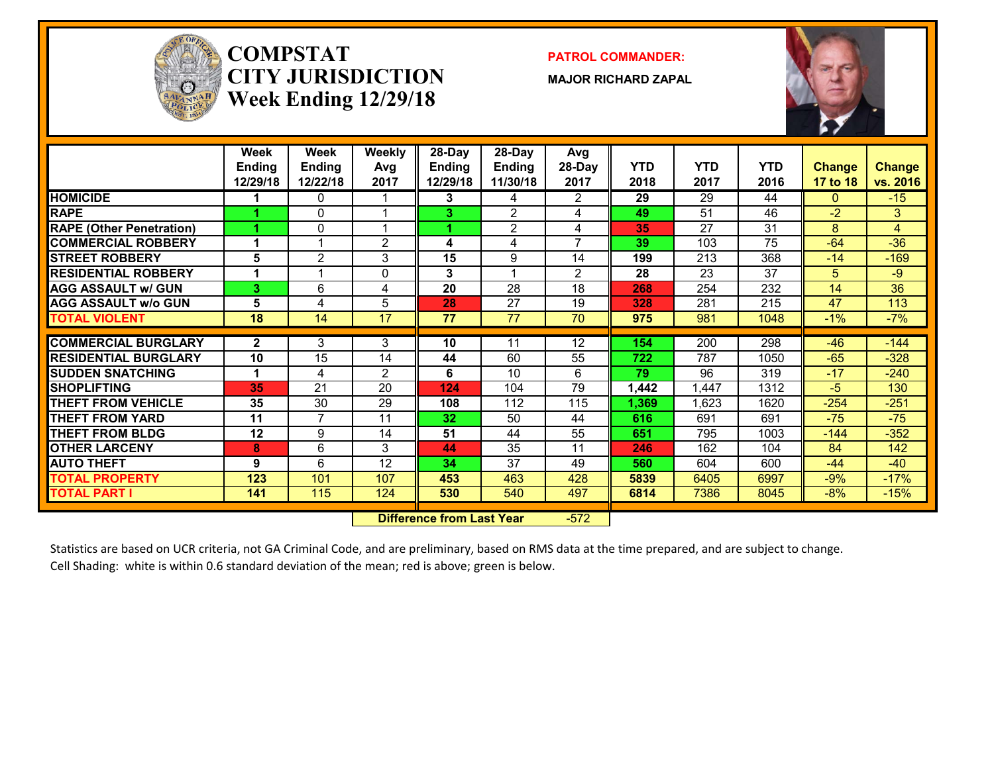

#### **COMPSTATCITY JURISDICTIONWeek Ending 12/29/18**

**PATROL COMMANDER:**

**MAJOR RICHARD ZAPAL**



|                                            | Week          | Week           | <b>Weekly</b>  | 28-Day        | 28-Day          | Avg             |            |       |            |               |                 |
|--------------------------------------------|---------------|----------------|----------------|---------------|-----------------|-----------------|------------|-------|------------|---------------|-----------------|
|                                            | <b>Ending</b> | <b>Ending</b>  | Avg            | <b>Ending</b> | <b>Ending</b>   | 28-Day          | <b>YTD</b> | YTD   | <b>YTD</b> | <b>Change</b> | <b>Change</b>   |
|                                            | 12/29/18      | 12/22/18       | 2017           | 12/29/18      | 11/30/18        | 2017            | 2018       | 2017  | 2016       | 17 to 18      | vs. 2016        |
| <b>HOMICIDE</b>                            |               | 0              |                | 3             | 4               | 2               | 29         | 29    | 44         | $\Omega$      | $-15$           |
| <b>RAPE</b>                                |               | 0              |                | 3             | $\overline{2}$  | 4               | 49         | 51    | 46         | $-2$          | 3               |
| <b>RAPE (Other Penetration)</b>            |               | 0              |                |               | $\overline{2}$  | 4               | 35         | 27    | 31         | 8             | $\overline{4}$  |
| <b>COMMERCIAL ROBBERY</b>                  |               |                | $\overline{2}$ | 4             | 4               | 7               | 39         | 103   | 75         | $-64$         | $-36$           |
| <b>STREET ROBBERY</b>                      | 5             | $\overline{c}$ | 3              | 15            | 9               | $1\overline{4}$ | 199        | 213   | 368        | $-14$         | $-169$          |
| <b>RESIDENTIAL ROBBERY</b>                 |               |                | $\Omega$       | 3             |                 | $\overline{2}$  | 28         | 23    | 37         | 5             | -9              |
| <b>AGG ASSAULT w/ GUN</b>                  | 3             | 6              | 4              | 20            | 28              | 18              | 268        | 254   | 232        | 14            | $\overline{36}$ |
| <b>AGG ASSAULT w/o GUN</b>                 | 5             | 4              | 5              | 28            | $\overline{27}$ | 19              | 328        | 281   | 215        | 47            | 113             |
| <b>TOTAL VIOLENT</b>                       | 18            | 14             | 17             | 77            | 77              | 70              | 975        | 981   | 1048       | $-1%$         | $-7%$           |
| <b>COMMERCIAL BURGLARY</b>                 | $\mathbf{2}$  | 3              | 3              | 10            | 11              | $\overline{12}$ | 154        | 200   | 298        | $-46$         | $-144$          |
| <b>RESIDENTIAL BURGLARY</b>                | 10            | 15             | 14             |               | 60              | 55              | 722        | 787   |            | $-65$         | $-328$          |
|                                            |               |                |                | 44            | 10              |                 | 79         | 96    | 1050       | $-17$         |                 |
| <b>SUDDEN SNATCHING</b>                    |               | 4              | $\overline{2}$ | 6             |                 | 6               |            |       | 319        | $-5$          | $-240$          |
| <b>SHOPLIFTING</b>                         | 35            | 21             | 20             | 124           | 104             | 79              | 1,442      | 1.447 | 1312       |               | 130             |
| <b>THEFT FROM VEHICLE</b>                  | 35            | 30             | 29             | 108           | 112             | 115             | 1,369      | 1.623 | 1620       | $-254$        | $-251$          |
| <b>THEFT FROM YARD</b>                     | 11            | $\overline{7}$ | 11             | 32            | 50              | 44              | 616        | 691   | 691        | $-75$         | $-75$           |
| <b>THEFT FROM BLDG</b>                     | 12            | 9              | 14             | 51            | 44              | 55              | 651        | 795   | 1003       | $-144$        | $-352$          |
| <b>OTHER LARCENY</b>                       | 8             | 6              | 3              | 44            | 35              | 11              | 246        | 162   | 104        | 84            | 142             |
| <b>AUTO THEFT</b>                          | 9             | 6              | 12             | 34            | 37              | 49              | 560        | 604   | 600        | $-44$         | $-40$           |
| <b>TOTAL PROPERTY</b>                      | 123           | 101            | 107            | 453           | 463             | 428             | 5839       | 6405  | 6997       | $-9%$         | $-17%$          |
| <b>TOTAL PART I</b>                        | 141           | 115            | 124            | 530           | 540             | 497             | 6814       | 7386  | 8045       | $-8%$         | $-15%$          |
| $-572$<br><b>Difference from Last Year</b> |               |                |                |               |                 |                 |            |       |            |               |                 |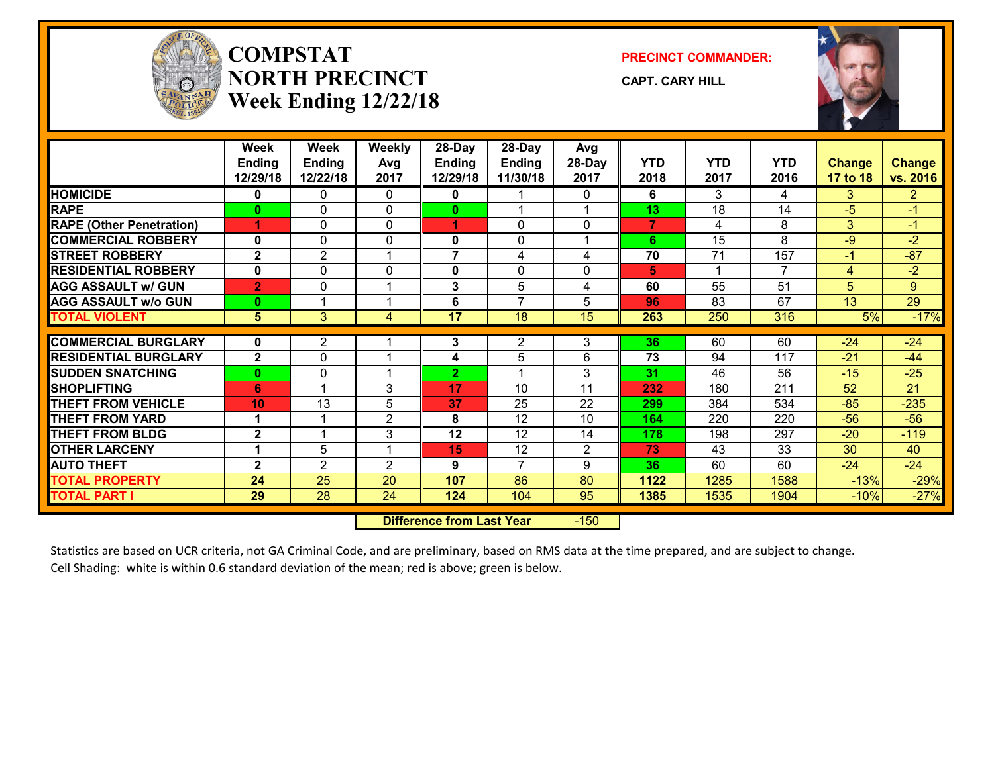

### **COMPSTATNORTH PRECINCTWeek Ending 12/22/18**

**PRECINCT COMMANDER:**

**CAPT. CARY HILL**



|                                 | Week<br><b>Ending</b><br>12/29/18 | <b>Week</b><br><b>Ending</b><br>12/22/18 | <b>Weekly</b><br>Avg<br>2017 | $28-Day$<br><b>Ending</b><br>12/29/18 | 28-Day<br><b>Ending</b><br>11/30/18 | Avg<br>28-Day<br>2017 | <b>YTD</b><br>2018 | <b>YTD</b><br>2017 | <b>YTD</b><br>2016 | <b>Change</b><br>17 to 18 | <b>Change</b><br>vs. 2016 |
|---------------------------------|-----------------------------------|------------------------------------------|------------------------------|---------------------------------------|-------------------------------------|-----------------------|--------------------|--------------------|--------------------|---------------------------|---------------------------|
| <b>HOMICIDE</b>                 | 0                                 | 0                                        | $\Omega$                     | 0                                     |                                     | 0                     | 6                  | 3                  | 4                  | 3                         | $\overline{2}$            |
| <b>RAPE</b>                     | $\mathbf{0}$                      | $\mathbf{0}$                             | $\mathbf{0}$                 | $\mathbf{0}$                          |                                     |                       | 13                 | 18                 | 14                 | -5                        | $-1$                      |
| <b>RAPE (Other Penetration)</b> | 4                                 | $\mathbf{0}$                             | $\mathbf{0}$                 | 1                                     | $\mathbf{0}$                        | $\Omega$              | $\overline{7}$     | 4                  | 8                  | 3                         | $-1$                      |
| <b>COMMERCIAL ROBBERY</b>       | 0                                 | $\mathbf{0}$                             | $\mathbf{0}$                 | $\mathbf 0$                           | 0                                   |                       | 6                  | 15                 | 8                  | $-9$                      | $-2$                      |
| <b>STREET ROBBERY</b>           | $\mathbf{2}$                      | 2                                        |                              | $\overline{7}$                        | 4                                   | 4                     | 70                 | 71                 | 157                | $-1$                      | $-87$                     |
| <b>RESIDENTIAL ROBBERY</b>      | $\mathbf{0}$                      | $\Omega$                                 | $\Omega$                     | 0                                     | 0                                   | 0                     | 5.                 | 1                  | $\overline{7}$     | 4                         | $-2$                      |
| <b>AGG ASSAULT w/ GUN</b>       | $\overline{2}$                    | $\mathbf{0}$                             |                              | 3                                     | 5                                   | 4                     | 60                 | 55                 | 51                 | 5                         | 9                         |
| <b>AGG ASSAULT w/o GUN</b>      | $\mathbf{0}$                      | -4                                       | -4                           | 6                                     | $\overline{7}$                      | 5                     | 96                 | 83                 | 67                 | 13                        | 29                        |
| <b>TOTAL VIOLENT</b>            | 5 <sup>5</sup>                    | 3                                        | 4                            | 17                                    | 18                                  | 15                    | 263                | 250                | 316                | 5%                        | $-17%$                    |
| <b>COMMERCIAL BURGLARY</b>      | $\mathbf{0}$                      | $\mathbf{2}$                             |                              | 3                                     | 2                                   | 3                     | 36                 | 60                 | 60                 | $-24$                     | $-24$                     |
| <b>RESIDENTIAL BURGLARY</b>     | $\mathbf{2}$                      | $\mathbf{0}$                             |                              | 4                                     | 5                                   | 6                     | 73                 | 94                 | 117                | $-21$                     | $-44$                     |
| <b>SUDDEN SNATCHING</b>         | $\mathbf{0}$                      | $\mathbf{0}$                             |                              | $\overline{2}$                        |                                     | 3                     | 31                 | 46                 | 56                 | $-15$                     | $-25$                     |
|                                 |                                   |                                          |                              |                                       |                                     |                       |                    |                    |                    |                           |                           |
| <b>SHOPLIFTING</b>              | 6                                 |                                          | 3                            | 17                                    | 10                                  | 11                    | 232                | 180                | 211                | 52                        | 21                        |
| <b>THEFT FROM VEHICLE</b>       | 10                                | 13                                       | 5                            | 37                                    | 25                                  | 22                    | 299                | 384                | 534                | $-85$                     | $-235$                    |
| <b>THEFT FROM YARD</b>          |                                   |                                          | 2                            | 8                                     | 12                                  | 10                    | 164                | 220                | 220                | $-56$                     | $-56$                     |
| <b>THEFT FROM BLDG</b>          | $\mathbf{2}$                      |                                          | 3                            | 12                                    | 12                                  | 14                    | 178                | 198                | 297                | $-20$                     | $-119$                    |
| <b>OTHER LARCENY</b>            |                                   | 5                                        |                              | 15                                    | 12                                  | 2                     | 73                 | 43                 | 33                 | 30                        | 40                        |
| <b>AUTO THEFT</b>               | $\mathbf{2}$                      | $\overline{2}$                           | 2                            | 9                                     | $\overline{7}$                      | 9                     | 36                 | 60                 | 60                 | $-24$                     | $-24$                     |
| <b>TOTAL PROPERTY</b>           | 24                                | 25                                       | 20                           | 107                                   | 86                                  | 80                    | 1122               | 1285               | 1588               | $-13%$                    |                           |
| <b>TOTAL PART I</b>             | 29                                | 28                                       | 24                           | 124                                   | 104                                 | 95                    | 1385               | 1535               | 1904               | $-10%$                    | $-29%$<br>$-27%$          |

 **Difference from Last Year**r -150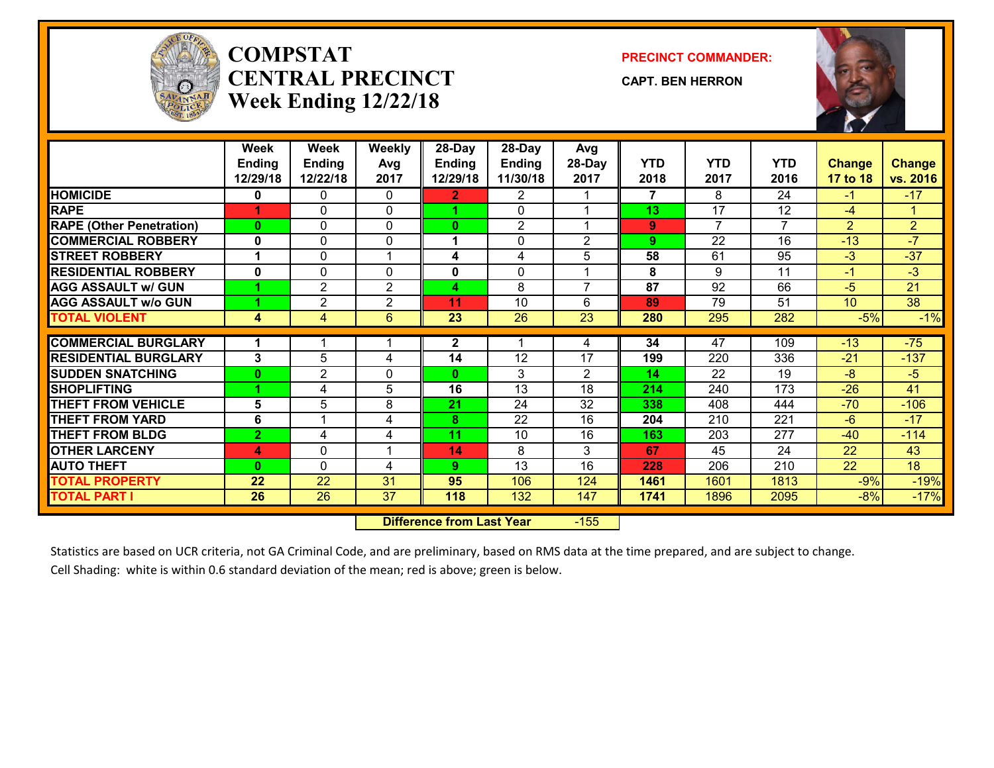

# **COMPSTATCENTRAL PRECINCTWeek Ending 12/22/18**

**PRECINCT COMMANDER:**

**CAPT. BEN HERRON**



|                                 | Week<br><b>Ending</b><br>12/29/18 | Week<br><b>Ending</b><br>12/22/18 | <b>Weekly</b><br>Avg<br>2017 | 28-Day<br>Ending<br>12/29/18      | 28-Day<br><b>Ending</b><br>11/30/18 | Avg<br>28-Day<br>2017 | YTD<br>2018 | <b>YTD</b><br>2017 | <b>YTD</b><br>2016 | <b>Change</b><br>17 to 18 | <b>Change</b><br>vs. 2016 |
|---------------------------------|-----------------------------------|-----------------------------------|------------------------------|-----------------------------------|-------------------------------------|-----------------------|-------------|--------------------|--------------------|---------------------------|---------------------------|
| <b>HOMICIDE</b>                 | 0                                 | 0                                 | 0                            | $\mathbf{2}$                      | 2                                   |                       | 7           | 8                  | 24                 | -1                        | $-17$                     |
| <b>RAPE</b>                     |                                   | $\Omega$                          | $\Omega$                     | 4                                 | $\Omega$                            |                       | 13          | 17                 | 12                 | $-4$                      | $\mathbf 1$               |
| <b>RAPE (Other Penetration)</b> | $\mathbf{0}$                      | $\Omega$                          | $\Omega$                     | 0                                 | $\mathfrak{p}$                      |                       | 9           | $\overline{7}$     | 7                  | $\overline{2}$            | $\overline{2}$            |
| <b>COMMERCIAL ROBBERY</b>       | $\mathbf 0$                       | $\Omega$                          | 0                            | 1                                 | $\Omega$                            | $\overline{2}$        | 9           | 22                 | 16                 | $-13$                     | $-7$                      |
| <b>STREET ROBBERY</b>           |                                   | $\Omega$                          |                              | 4                                 | 4                                   | 5                     | 58          | 61                 | 95                 | $-3$                      | $-37$                     |
| <b>RESIDENTIAL ROBBERY</b>      | $\mathbf{0}$                      | 0                                 | $\Omega$                     | 0                                 | $\Omega$                            |                       | 8           | 9                  | 11                 | -1                        | $-3$                      |
| <b>AGG ASSAULT w/ GUN</b>       |                                   | $\overline{2}$                    | $\overline{2}$               | 4                                 | 8                                   | $\overline{7}$        | 87          | 92                 | 66                 | $-5$                      | 21                        |
| <b>AGG ASSAULT w/o GUN</b>      |                                   | $\overline{2}$                    | 2                            | 11                                | 10                                  | 6                     | 89          | 79                 | 51                 | 10 <sup>°</sup>           | 38                        |
| <b>TOTAL VIOLENT</b>            | 4                                 | 4                                 | 6                            | $\overline{23}$                   | $\overline{26}$                     | $\overline{23}$       | 280         | 295                | 282                | $-5%$                     | $-1%$                     |
|                                 |                                   |                                   |                              |                                   |                                     |                       |             |                    |                    |                           |                           |
| <b>COMMERCIAL BURGLARY</b>      |                                   |                                   |                              | $\mathbf{2}$                      |                                     | 4                     | 34          | 47                 | 109                | $-13$                     | $-75$                     |
| <b>RESIDENTIAL BURGLARY</b>     | 3                                 | 5                                 | 4                            | 14                                | 12                                  | 17                    | 199         | 220                | 336                | $-21$                     | $-137$                    |
| <b>SUDDEN SNATCHING</b>         | $\mathbf{0}$                      | $\overline{c}$                    | $\Omega$                     | 0                                 | 3                                   | $\overline{2}$        | 14          | 22                 | 19                 | $-8$                      | $-5$                      |
| <b>SHOPLIFTING</b>              |                                   | 4                                 | 5                            | 16                                | 13                                  | 18                    | 214         | 240                | 173                | $-26$                     | 41                        |
| <b>THEFT FROM VEHICLE</b>       | 5                                 | 5                                 | 8                            | 21                                | 24                                  | 32                    | 338         | 408                | 444                | $-70$                     | $-106$                    |
| <b>THEFT FROM YARD</b>          | 6                                 |                                   | 4                            | 8                                 | 22                                  | 16                    | 204         | 210                | 221                | $-6$                      | $-17$                     |
| <b>THEFT FROM BLDG</b>          | $\overline{2}$                    | 4                                 | 4                            | 11                                | 10                                  | 16                    | 163         | 203                | 277                | $-40$                     | $-114$                    |
| <b>OTHER LARCENY</b>            | 4                                 | 0                                 |                              | 14                                | 8                                   | 3                     | 67          | 45                 | 24                 | 22                        | 43                        |
| <b>AUTO THEFT</b>               | $\mathbf{0}$                      | 0                                 | 4                            | 9.                                | $\overline{13}$                     | 16                    | 228         | 206                | 210                | $\overline{22}$           | $\overline{18}$           |
| <b>TOTAL PROPERTY</b>           | 22                                | 22                                | 31                           | 95                                | 106                                 | 124                   | 1461        | 1601               | 1813               | $-9%$                     | $-19%$                    |
| <b>TOTAL PART I</b>             | 26                                | 26                                | 37                           | 118                               | 132                                 | 147                   | 1741        | 1896               | 2095               | $-8%$                     | $-17%$                    |
|                                 |                                   |                                   |                              | <b>Difference from Least Venu</b> |                                     | ATEC                  |             |                    |                    |                           |                           |

 **Difference from Last Year**r -155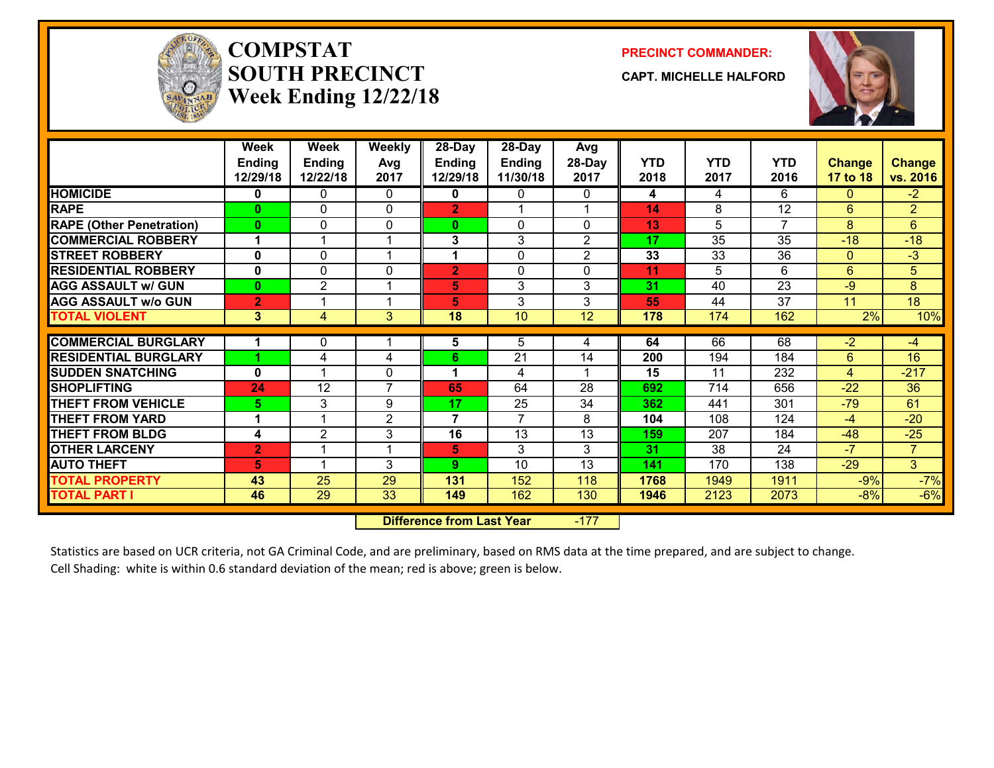

# **COMPSTATSOUTH PRECINCTWeek Ending 12/22/18**

**PRECINCT COMMANDER:**

**CAPT. MICHELLE HALFORD**



|                                                         | Week<br><b>Ending</b><br>12/29/18 | Week<br><b>Ending</b><br>12/22/18 | Weekly<br>Avg<br>2017 | 28-Day<br><b>Ending</b><br>12/29/18 | 28-Day<br><b>Ending</b><br>11/30/18 | Avg<br>28-Day<br>2017 | <b>YTD</b><br>2018 | <b>YTD</b><br>2017 | <b>YTD</b><br>2016 | <b>Change</b><br>17 to 18 | <b>Change</b><br>vs. 2016 |
|---------------------------------------------------------|-----------------------------------|-----------------------------------|-----------------------|-------------------------------------|-------------------------------------|-----------------------|--------------------|--------------------|--------------------|---------------------------|---------------------------|
| <b>HOMICIDE</b>                                         | 0                                 | 0                                 | $\mathbf{0}$          | 0                                   | $\mathbf{0}$                        | 0                     | 4                  | 4                  | 6                  | $\Omega$                  | $-2$                      |
| <b>RAPE</b>                                             | $\bf{0}$                          | 0                                 | $\mathbf{0}$          | $\overline{2}$                      | 1                                   |                       | 14                 | 8                  | 12                 | 6                         | $\overline{2}$            |
| <b>RAPE (Other Penetration)</b>                         | $\bf{0}$                          | 0                                 | 0                     | $\mathbf{0}$                        | $\mathbf{0}$                        | 0                     | 13                 | 5                  | $\overline{7}$     | 8                         | $6\phantom{1}$            |
| <b>COMMERCIAL ROBBERY</b>                               | 4                                 |                                   | -1                    | 3                                   | 3                                   | $\overline{2}$        | 17                 | $\overline{35}$    | $\overline{35}$    | $-18$                     | $-18$                     |
| <b>STREET ROBBERY</b>                                   | $\mathbf 0$                       | 0                                 | -1                    | 1                                   | $\mathbf{0}$                        | $\overline{2}$        | 33                 | 33                 | 36                 | $\Omega$                  | $-3$                      |
| <b>RESIDENTIAL ROBBERY</b>                              | $\mathbf{0}$                      | 0                                 | $\Omega$              | $\overline{2}$                      | $\mathbf{0}$                        | 0                     | 11                 | 5                  | 6                  | 6                         | $5\phantom{.}$            |
| <b>AGG ASSAULT w/ GUN</b>                               | $\mathbf{0}$                      | $\overline{2}$                    | -1                    | 5                                   | 3                                   | 3                     | 31                 | 40                 | 23                 | $-9$                      | 8                         |
| <b>AGG ASSAULT w/o GUN</b>                              | $\overline{2}$                    |                                   | -1                    | 5                                   | 3                                   | 3                     | 55                 | 44                 | 37                 | 11                        | 18                        |
| <b>TOTAL VIOLENT</b>                                    | 3                                 | 4                                 | 3                     | 18                                  | 10 <sup>°</sup>                     | 12                    | 178                | 174                | 162                | 2%                        | 10%                       |
| <b>COMMERCIAL BURGLARY</b>                              | 1                                 | 0                                 | -1                    | 5                                   | 5                                   | 4                     | 64                 | 66                 | 68                 | $-2$                      | $-4$                      |
|                                                         |                                   | 4                                 |                       |                                     | 21                                  | 14                    |                    |                    |                    | 6                         | 16                        |
| <b>RESIDENTIAL BURGLARY</b><br><b>ISUDDEN SNATCHING</b> | $\mathbf{0}$                      |                                   | 4<br>$\Omega$         | 6<br>1                              | 4                                   |                       | 200<br>15          | 194<br>11          | 184<br>232         | 4                         | $-217$                    |
| <b>SHOPLIFTING</b>                                      | 24                                | 12                                | $\overline{7}$        | 65                                  | 64                                  | 28                    | 692                | 714                | 656                | $-22$                     | 36                        |
| <b>THEFT FROM VEHICLE</b>                               | 5.                                | 3                                 | 9                     | 17                                  | 25                                  | 34                    | 362                | 441                | 301                | $-79$                     | 61                        |
| <b>THEFT FROM YARD</b>                                  | 1                                 |                                   | 2                     | $\overline{7}$                      | $\overline{7}$                      | 8                     | 104                | 108                | 124                | -4                        | $-20$                     |
| <b>THEFT FROM BLDG</b>                                  | 4                                 | 2                                 | 3                     | 16                                  | 13                                  | 13                    | 159                | 207                | 184                | $-48$                     | $-25$                     |
| <b>OTHER LARCENY</b>                                    | $\overline{2}$                    |                                   |                       | 5                                   | 3                                   | 3                     | 31                 | 38                 | 24                 | $-7$                      | $\overline{7}$            |
| <b>AUTO THEFT</b>                                       | 5.                                |                                   | 3                     | 9                                   | 10                                  | 13                    | 141                | 170                | 138                | $-29$                     | 3                         |
| <b>TOTAL PROPERTY</b>                                   | 43                                | 25                                | 29                    | 131                                 | 152                                 | 118                   | 1768               | 1949               | 1911               | $-9%$                     | $-7%$                     |
| <b>TOTAL PART I</b>                                     | 46                                | 29                                | 33                    | 149                                 | 162                                 | 130                   | 1946               | 2123               | 2073               | $-8%$                     | $-6%$                     |
|                                                         |                                   |                                   |                       |                                     |                                     |                       |                    |                    |                    |                           |                           |

 **Difference from Last Year**-177